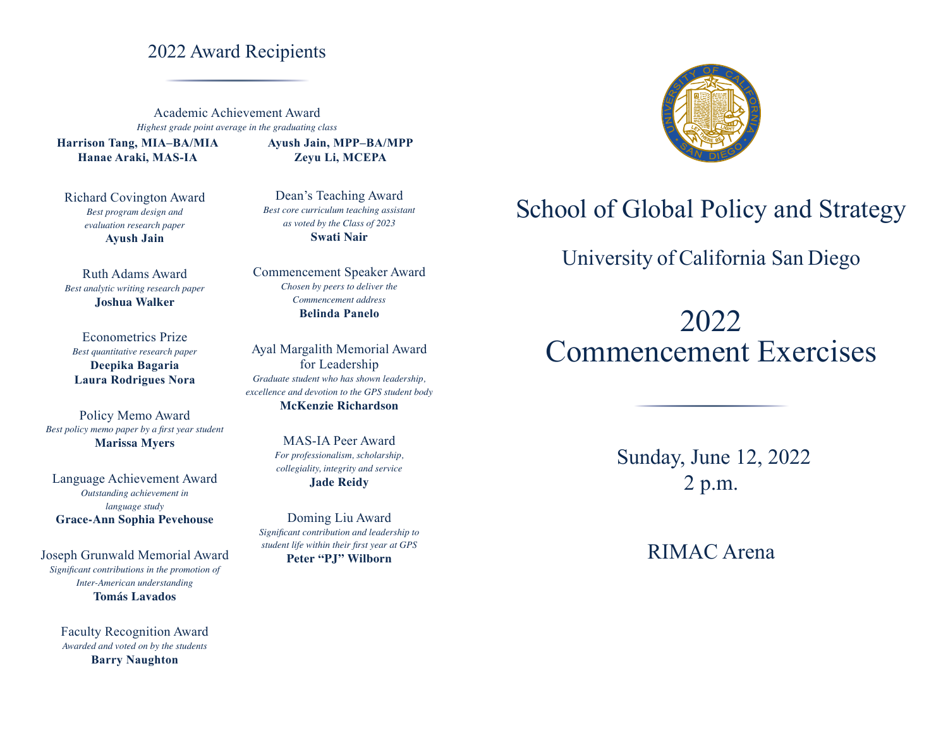## 2022 Award Recipients

Academic Achievement Award *Highest grade point average in the graduating class*

**Harrison Tang, MIA–BA/MIA Hanae Araki, MAS-IA**

Richard Covington Award *Best program design and evaluation research paper* **Ayush Jain**

Ruth Adams Award *Best analytic writing research paper* **Joshua Walker**

Econometrics Prize *Best quantitative research paper* **Deepika Bagaria Laura Rodrigues Nora**

Policy Memo Award *Best policy memo paper by a first year student* **Marissa Myers**

Language Achievement Award *Outstanding achievement in language study* **Grace-Ann Sophia Pevehouse**

Joseph Grunwald Memorial Award *Significant contributions in the promotion of Inter-American understanding* **Tomás Lavados**

> Faculty Recognition Award *Awarded and voted on by the students*  **Barry Naughton**

**Ayush Jain, MPP–BA/MPP Zeyu Li, MCEPA**

Dean's Teaching Award *Best core curriculum teaching assistant as voted by the Class of 2023* **Swati Nair**

Commencement Speaker Award *Chosen by peers to deliver the Commencement address* **Belinda Panelo** 

Ayal Margalith Memorial Award for Leadership *Graduate student who has shown leadership, excellence and devotion to the GPS student body* **McKenzie Richardson**

> MAS-IA Peer Award *For professionalism, scholarship, collegiality, integrity and service* **Jade Reidy**

Doming Liu Award *Significant contribution and leadership to student life within their first year at GPS* **Peter "PJ" Wilborn**



# School of Global Policy and Strategy

## University of California San Diego

2022 Commencement Exercises

> Sunday, June 12, 2022 2 p.m.

> > RIMAC Arena